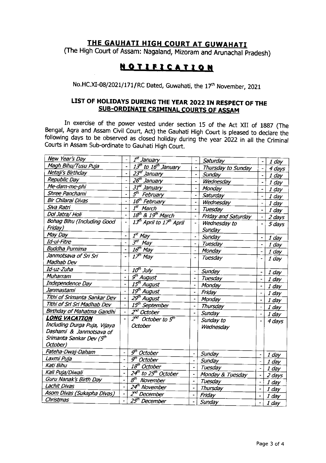## THE GAUHATI HIGH COURT AT GUWAHATI

(The High Court of Assam: Nagaland, Mizoram and Arunachal Pradesh)

# **NOTIFICATION**

No.HC.XI-08/2021/171/RC Dated, Guwahati, the 17<sup>th</sup> November, 2021

### LIST OF HOLIDAYS DURING THE YEAR 2022 IN RESPECT OF THE SUB-ORDINATE CRIMINAL COURTS OF ASSAM

In exercise of the power vested under section 15 of the Act XII of 1887 (The Bengal, Agra and Assam Civil Court, Act) the Gauhati High Court is pleased to declare the following days to be observed as closed holiday during the year 2022 in all the Criminal Courts in Assam Sub-ordinate to Gauhati High Court.

| New Year's Day               |                                  | I <sup>st</sup> January                          |                                 |                     |                          |         |
|------------------------------|----------------------------------|--------------------------------------------------|---------------------------------|---------------------|--------------------------|---------|
| Magh Bihu/Tusu Puja          |                                  | 13 <sup>th</sup> to 16 <sup>th</sup> January     |                                 | Saturday            |                          | 1 day   |
| Netaji's Birthday            |                                  | 23 <sup>d</sup> January                          | $\blacksquare$<br>$\frac{1}{2}$ | Thursday to Sunday  |                          | 4 days  |
| Republic Day                 |                                  | 26 <sup>th</sup> January                         |                                 | Sunday              |                          | $1$ day |
| Me-dam-me-phi                | ÷                                | 31 <sup>st</sup> January                         | $\tilde{\phantom{a}}$           | Wednesday           |                          | $1$ day |
| Shree Panchami               | $\qquad \qquad \blacksquare$     |                                                  | $\overline{a}$                  | Monday              |                          | 1 day   |
| Bir Chilarai Divas           | $\overline{\phantom{a}}$         | 5 <sup>th</sup> February                         | $\overline{a}$                  | Saturday            |                          | 1 day   |
| Siva Ratri                   |                                  | 16 <sup>th</sup> February                        | $\overline{a}$                  | Wednesday           |                          | $1$ day |
| Dol Jatra/ Holi              | $\overline{a}$<br>$\overline{a}$ | $\overline{I^{st}}$ March                        | $\overline{\phantom{a}}$        | Tuesday             |                          | $1$ day |
|                              |                                  | $18th$ & $19th$ March                            | $\hat{\phantom{a}}$             | Friday and Saturday | $\blacksquare$           | 2 days  |
| Bohag Bihu (Including Good   |                                  | 13 <sup>th</sup> April to 17 <sup>th</sup> April | $\overline{\phantom{m}}$        | Wednesday to        |                          | 5 days  |
| Friday)                      |                                  |                                                  |                                 | Sunday              |                          |         |
| May Day                      | $\overline{a}$                   | $\overline{I}^{\text{st}}$ May                   | $\ddot{\phantom{1}}$            | Sunday              | $\blacksquare$           | $1$ day |
| Id-ul-Fitre                  |                                  | $\overline{3^{\sigma}}$ May                      | $\overline{a}$                  | Tuesday             | $\overline{\phantom{a}}$ | $1$ day |
| <b>Buddha Purnima</b>        | $\ddot{\phantom{0}}$             | $16th$ May                                       | $\overline{\phantom{a}}$        | Monday              | $\overline{\phantom{0}}$ | $1$ day |
| Janmotsava of Sri Sri        |                                  | $17th$ May                                       | $\blacksquare$                  | Tuesday             |                          | $1$ day |
| Madhab Dev                   |                                  |                                                  |                                 |                     |                          |         |
| Id-uz-Zuha                   |                                  | $10th$ July                                      | $\blacksquare$                  | Sunday              | $\overline{\phantom{a}}$ | $1$ day |
| Muharram                     |                                  | g <sup>th</sup> August                           | $\blacksquare$                  | Tuesday             | $\ddot{\phantom{0}}$     | $1$ day |
| Independence Day             |                                  | 15 <sup>th</sup> August                          | $\ddot{\phantom{0}}$            | Monday              |                          | 1 day   |
| Janmastami                   |                                  | 19 <sup>th</sup> A <u>ugust</u>                  | $\overline{\phantom{a}}$        | Friday              | $\overline{a}$           | $1$ day |
| Tithi of Srimanta Sankar Dev | $\blacksquare$                   | 29 <sup>th</sup> August                          | $\overline{\phantom{a}}$        | Monday              | $\blacksquare$           | $1$ day |
| Tithi of Sri Sri Madhab Dev  | ÷,                               | 15 <sup>th</sup> September                       |                                 | Thursday            | $\overline{a}$           | 1 day   |
| Birthday of Mahatma Gandhi   |                                  | $\overline{Z^{nd}}$ October                      | $\overline{\phantom{a}}$        | Sunday              | $\overline{\phantom{0}}$ | 1 day   |
| <b>LONG VACATION</b>         |                                  | $2^{nd}$ October to $5^{th}$                     |                                 | Sunday to           |                          |         |
| Including Durga Puja, Vijaya |                                  | <b>October</b>                                   |                                 | Wednesday           |                          | 4 days  |
| Dashami & Janmotsava of      |                                  |                                                  |                                 |                     |                          |         |
| Srimanta Sankar Dev (5th     |                                  |                                                  |                                 |                     |                          |         |
| October)                     |                                  |                                                  |                                 |                     |                          |         |
| Fateha-Dwaj-Daham            |                                  | $\overline{g^{th}}$ October                      |                                 | Sunday              |                          |         |
| Laxmi Puja                   |                                  | $\overline{g^{th}$ October                       |                                 |                     | $\blacksquare$           | $1$ day |
| Kati Bihu                    |                                  | 18 <sup>th</sup> October                         | $\overline{\phantom{a}}$        | Sunday              | $\qquad \qquad -$        | 1 day   |
| Kalı Puja/Diwali             |                                  | 24 <sup>th</sup> to 25 <sup>th</sup> October     |                                 | Tuesday             | $\blacksquare$           | $1$ day |
| Guru Nanak's Birth Day       |                                  | 8 <sup>th</sup> November                         | ÷                               | Monday & Tuesday    | $\frac{1}{2}$            | 2 days  |
| <b>Lachit Divas</b>          |                                  | 24 <sup>th</sup> November                        | $\overline{\phantom{0}}$        | Tuesday             | $\overline{\phantom{a}}$ | $1$ day |
| Asom Divas (Sukapha Divas)   |                                  | Z <sup>rd</sup> December                         | $\overline{\phantom{a}}$        | Thursday            |                          | 1 day   |
| Christmas                    |                                  | 25 <sup>th</sup> December                        | $\blacksquare$                  | Friday              |                          | 1 day   |
|                              |                                  |                                                  | $\overline{\phantom{0}}$        | Sunday              |                          | $1$ day |